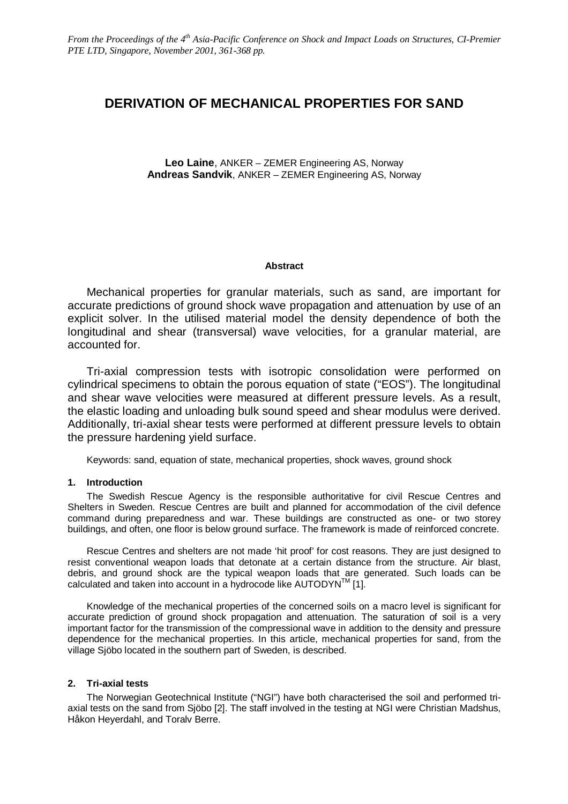# **DERIVATION OF MECHANICAL PROPERTIES FOR SAND**

**Leo Laine**, ANKER – ZEMER Engineering AS, Norway **Andreas Sandvik**, ANKER – ZEMER Engineering AS, Norway

## **Abstract**

Mechanical properties for granular materials, such as sand, are important for accurate predictions of ground shock wave propagation and attenuation by use of an explicit solver. In the utilised material model the density dependence of both the longitudinal and shear (transversal) wave velocities, for a granular material, are accounted for.

Tri-axial compression tests with isotropic consolidation were performed on cylindrical specimens to obtain the porous equation of state ("EOS"). The longitudinal and shear wave velocities were measured at different pressure levels. As a result, the elastic loading and unloading bulk sound speed and shear modulus were derived. Additionally, tri-axial shear tests were performed at different pressure levels to obtain the pressure hardening yield surface.

Keywords: sand, equation of state, mechanical properties, shock waves, ground shock

## **1. Introduction**

The Swedish Rescue Agency is the responsible authoritative for civil Rescue Centres and Shelters in Sweden. Rescue Centres are built and planned for accommodation of the civil defence command during preparedness and war. These buildings are constructed as one- or two storey buildings, and often, one floor is below ground surface. The framework is made of reinforced concrete.

Rescue Centres and shelters are not made 'hit proof' for cost reasons. They are just designed to resist conventional weapon loads that detonate at a certain distance from the structure. Air blast, debris, and ground shock are the typical weapon loads that are generated. Such loads can be calculated and taken into account in a hydrocode like AUTODYN™ [1].

Knowledge of the mechanical properties of the concerned soils on a macro level is significant for accurate prediction of ground shock propagation and attenuation. The saturation of soil is a very important factor for the transmission of the compressional wave in addition to the density and pressure dependence for the mechanical properties. In this article, mechanical properties for sand, from the village Sjöbo located in the southern part of Sweden, is described.

## **2. Tri-axial tests**

The Norwegian Geotechnical Institute ("NGI") have both characterised the soil and performed triaxial tests on the sand from Sjöbo [2]. The staff involved in the testing at NGI were Christian Madshus, Håkon Heyerdahl, and Toralv Berre.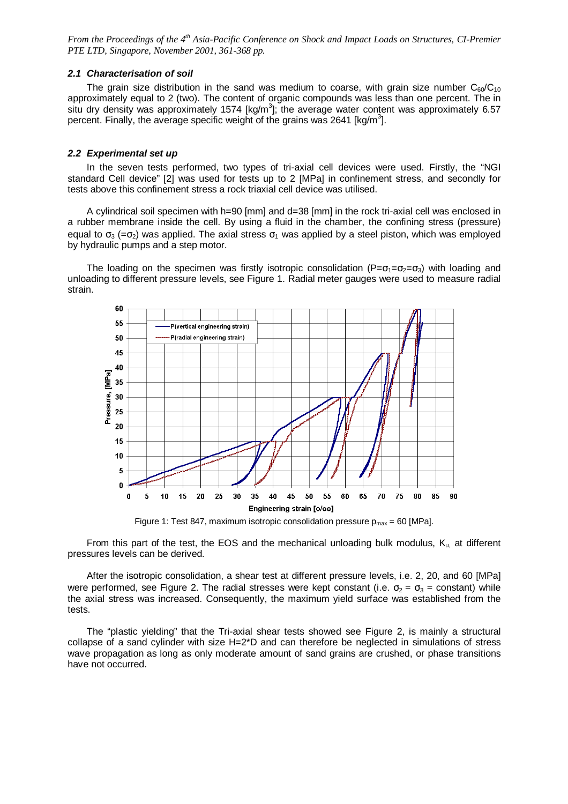#### **2.1 Characterisation of soil**

The grain size distribution in the sand was medium to coarse, with grain size number  $C_{60}/C_{10}$ approximately equal to 2 (two). The content of organic compounds was less than one percent. The in situ dry density was approximately 1574 [kg/m<sup>3</sup>]; the average water content was approximately 6.57 percent. Finally, the average specific weight of the grains was 2641 [kg/m<sup>3</sup>].

#### **2.2 Experimental set up**

In the seven tests performed, two types of tri-axial cell devices were used. Firstly, the "NGI standard Cell device" [2] was used for tests up to 2 [MPa] in confinement stress, and secondly for tests above this confinement stress a rock triaxial cell device was utilised.

A cylindrical soil specimen with h=90 [mm] and d=38 [mm] in the rock tri-axial cell was enclosed in a rubber membrane inside the cell. By using a fluid in the chamber, the confining stress (pressure) equal to  $\sigma_3$  (= $\sigma_2$ ) was applied. The axial stress  $\sigma_1$  was applied by a steel piston, which was employed by hydraulic pumps and a step motor.

The loading on the specimen was firstly isotropic consolidation ( $P=\sigma_1=\sigma_2=\sigma_3$ ) with loading and unloading to different pressure levels, see Figure 1. Radial meter gauges were used to measure radial strain.



Figure 1: Test 847, maximum isotropic consolidation pressure  $p_{max} = 60$  [MPa].

From this part of the test, the EOS and the mechanical unloading bulk modulus,  $K_{u}$  at different pressures levels can be derived.

After the isotropic consolidation, a shear test at different pressure levels, i.e. 2, 20, and 60 [MPa] were performed, see Figure 2. The radial stresses were kept constant (i.e.  $\sigma_2 = \sigma_3 =$  constant) while the axial stress was increased. Consequently, the maximum yield surface was established from the tests.

The "plastic yielding" that the Tri-axial shear tests showed see Figure 2, is mainly a structural collapse of a sand cylinder with size H=2\*D and can therefore be neglected in simulations of stress wave propagation as long as only moderate amount of sand grains are crushed, or phase transitions have not occurred.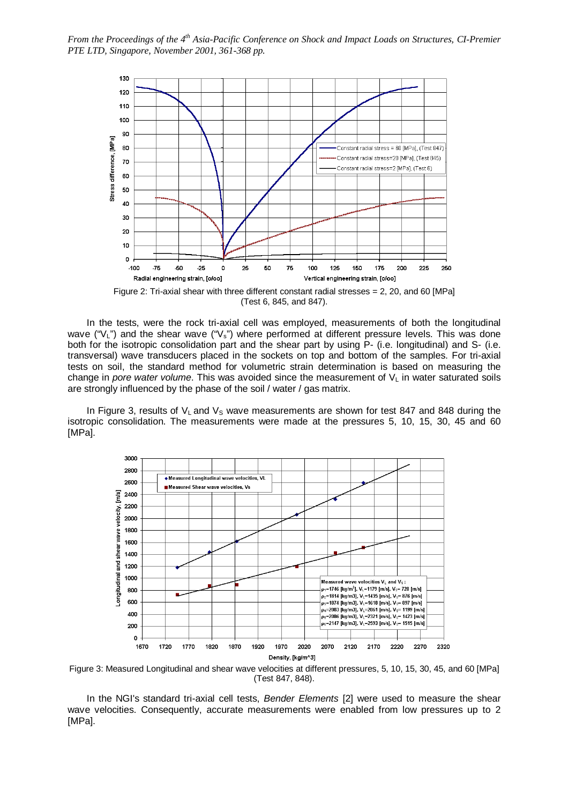

Figure 2: Tri-axial shear with three different constant radial stresses  $= 2$ , 20, and 60 [MPa] (Test 6, 845, and 847).

In the tests, were the rock tri-axial cell was employed, measurements of both the longitudinal wave ("V<sub>L</sub>") and the shear wave ("V<sub>s</sub>") where performed at different pressure levels. This was done both for the isotropic consolidation part and the shear part by using P- (i.e. longitudinal) and S- (i.e. transversal) wave transducers placed in the sockets on top and bottom of the samples. For tri-axial tests on soil, the standard method for volumetric strain determination is based on measuring the change in pore water volume. This was avoided since the measurement of  $V<sub>L</sub>$  in water saturated soils are strongly influenced by the phase of the soil / water / gas matrix.

In Figure 3, results of  $V_L$  and  $V_S$  wave measurements are shown for test 847 and 848 during the isotropic consolidation. The measurements were made at the pressures 5, 10, 15, 30, 45 and 60 [MPa].



Figure 3: Measured Longitudinal and shear wave velocities at different pressures, 5, 10, 15, 30, 45, and 60 [MPa] (Test 847, 848).

In the NGI's standard tri-axial cell tests, Bender Elements [2] were used to measure the shear wave velocities. Consequently, accurate measurements were enabled from low pressures up to 2 [MPa].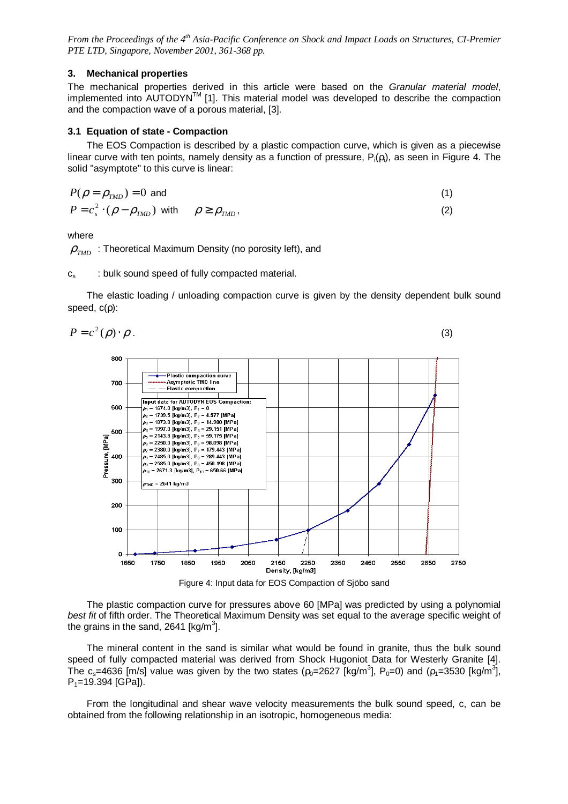## **3. Mechanical properties**

The mechanical properties derived in this article were based on the Granular material model, implemented into AUTODYN™ [1]. This material model was developed to describe the compaction and the compaction wave of a porous material, [3].

## **3.1 Equation of state - Compaction**

The EOS Compaction is described by a plastic compaction curve, which is given as a piecewise linear curve with ten points, namely density as a function of pressure,  $P_i(\rho_i)$ , as seen in Figure 4. The solid "asymptote" to this curve is linear:

$$
P(\rho = \rho_{TMD}) = 0 \text{ and}
$$
  
\n
$$
P = c_s^2 \cdot (\rho - \rho_{TMD}) \text{ with } \rho \ge \rho_{TMD},
$$
\n(2)

where

 $\rho_{\tau MD}$ : Theoretical Maximum Density (no porosity left), and

 $c_s$  : bulk sound speed of fully compacted material.

The elastic loading / unloading compaction curve is given by the density dependent bulk sound speed, c(ρ):





The plastic compaction curve for pressures above 60 [MPa] was predicted by using a polynomial best fit of fifth order. The Theoretical Maximum Density was set equal to the average specific weight of the grains in the sand, 2641 [kg/m<sup>3</sup>].

The mineral content in the sand is similar what would be found in granite, thus the bulk sound speed of fully compacted material was derived from Shock Hugoniot Data for Westerly Granite [4]. The c<sub>s</sub>=4636 [m/s] value was given by the two states ( $\rho_0$ =2627 [kg/m<sup>3</sup>], P<sub>0</sub>=0) and ( $\rho_1$ =3530 [kg/m<sup>3</sup>],  $P_1$ =19.394 [GPa]).

From the longitudinal and shear wave velocity measurements the bulk sound speed, c, can be obtained from the following relationship in an isotropic, homogeneous media: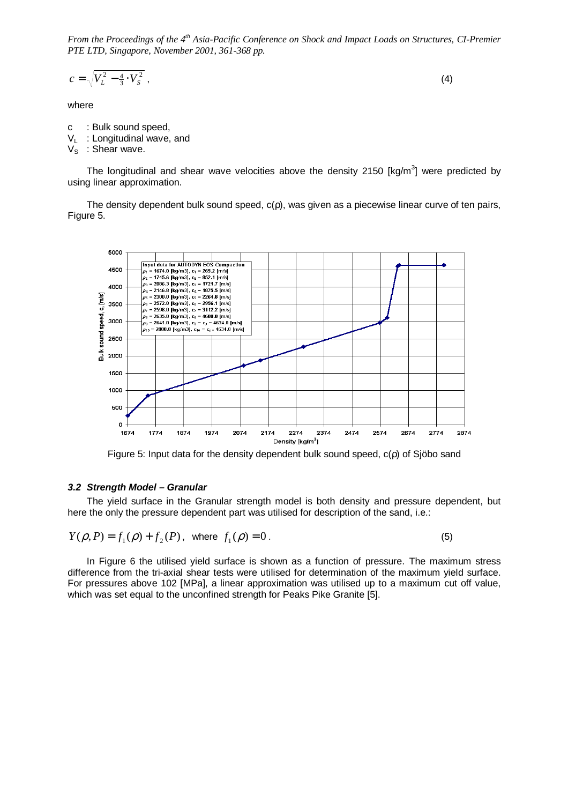$$
c = \sqrt{V_L^2 - \frac{4}{3} \cdot V_S^2} \tag{4}
$$

where

- c : Bulk sound speed,
- $V_L$ : Longitudinal wave, and
- $V_S$ : Shear wave.

The longitudinal and shear wave velocities above the density 2150 [kg/m<sup>3</sup>] were predicted by using linear approximation.

The density dependent bulk sound speed, c(ρ), was given as a piecewise linear curve of ten pairs, Figure 5.



Figure 5: Input data for the density dependent bulk sound speed, c(ρ) of Sjöbo sand

#### **3.2 Strength Model – Granular**

The yield surface in the Granular strength model is both density and pressure dependent, but here the only the pressure dependent part was utilised for description of the sand, i.e.:

$$
Y(\rho, P) = f_1(\rho) + f_2(P), \text{ where } f_1(\rho) = 0.
$$
 (5)

In Figure 6 the utilised yield surface is shown as a function of pressure. The maximum stress difference from the tri-axial shear tests were utilised for determination of the maximum yield surface. For pressures above 102 [MPa], a linear approximation was utilised up to a maximum cut off value, which was set equal to the unconfined strength for Peaks Pike Granite [5].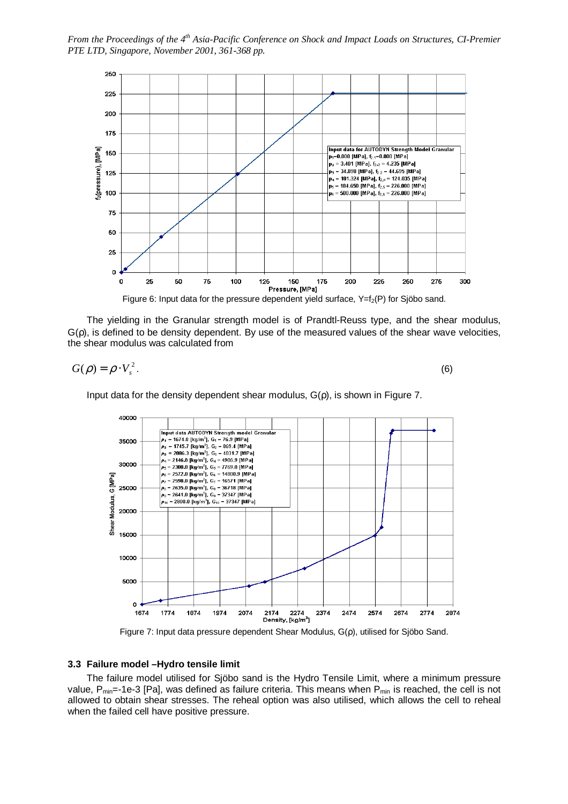

The yielding in the Granular strength model is of Prandtl-Reuss type, and the shear modulus,  $G(\rho)$ , is defined to be density dependent. By use of the measured values of the shear wave velocities, the shear modulus was calculated from

$$
G(\rho) = \rho \cdot V_s^2. \tag{6}
$$

Input data for the density dependent shear modulus,  $G(\rho)$ , is shown in Figure 7.



Figure 7: Input data pressure dependent Shear Modulus, G(ρ), utilised for Sjöbo Sand.

#### **3.3 Failure model –Hydro tensile limit**

The failure model utilised for Sjöbo sand is the Hydro Tensile Limit, where a minimum pressure value,  $P_{min}$ =-1e-3 [Pa], was defined as failure criteria. This means when  $P_{min}$  is reached, the cell is not allowed to obtain shear stresses. The reheal option was also utilised, which allows the cell to reheal when the failed cell have positive pressure.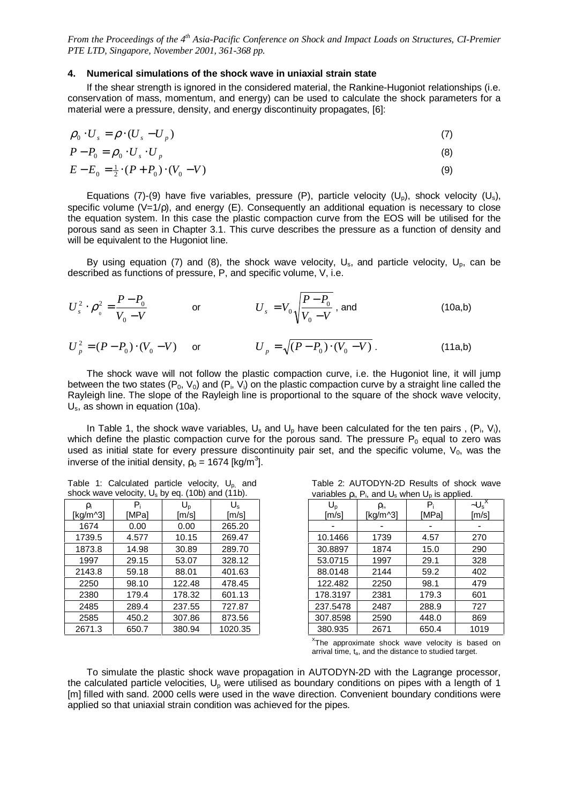#### **4. Numerical simulations of the shock wave in uniaxial strain state**

If the shear strength is ignored in the considered material, the Rankine-Hugoniot relationships (i.e. conservation of mass, momentum, and energy) can be used to calculate the shock parameters for a material were a pressure, density, and energy discontinuity propagates, [6]:

$$
\rho_0 \cdot U_s = \rho \cdot (U_s - U_p) \tag{7}
$$

$$
P - P_0 = \rho_0 \cdot U_s \cdot U_p \tag{8}
$$

$$
E - E_0 = \frac{1}{2} \cdot (P + P_0) \cdot (V_0 - V) \tag{9}
$$

Equations (7)-(9) have five variables, pressure (P), particle velocity (U<sub>0</sub>), shock velocity (U<sub>s</sub>), specific volume (V=1/p), and energy (E). Consequently an additional equation is necessary to close the equation system. In this case the plastic compaction curve from the EOS will be utilised for the porous sand as seen in Chapter 3.1. This curve describes the pressure as a function of density and will be equivalent to the Hugoniot line.

By using equation (7) and (8), the shock wave velocity,  $U_s$ , and particle velocity,  $U_p$ , can be described as functions of pressure, P, and specific volume, V, i.e.

$$
U_s^2 \cdot \rho_0^2 = \frac{P - P_0}{V_0 - V} \qquad \text{or} \qquad U_s = V_0 \sqrt{\frac{P - P_0}{V_0 - V}} \text{, and} \qquad (10a, b)
$$

$$
U_p^2 = (P - P_0) \cdot (V_0 - V) \quad \text{or} \quad U_p = \sqrt{(P - P_0) \cdot (V_0 - V)} \,. \tag{11a,b}
$$

The shock wave will not follow the plastic compaction curve, i.e. the Hugoniot line, it will jump between the two states (P<sub>0</sub>, V<sub>0</sub>) and (P<sub>i</sub>, V<sub>i</sub>) on the plastic compaction curve by a straight line called the Rayleigh line. The slope of the Rayleigh line is proportional to the square of the shock wave velocity, U<sub>s</sub>, as shown in equation (10a).

In Table 1, the shock wave variables,  $U_s$  and  $U_p$  have been calculated for the ten pairs,  $(P_i, V_i)$ , which define the plastic compaction curve for the porous sand. The pressure  $P_0$  equal to zero was used as initial state for every pressure discontinuity pair set, and the specific volume,  $V_0$ , was the inverse of the initial density,  $\rho_0$  = 1674 [kg/m $^3$ ].

|  | Table 1: Calculated particle velocity, $U_{p}$ , and |  |  |
|--|------------------------------------------------------|--|--|
|  | shock wave velocity, $U_s$ by eq. (10b) and (11b).   |  |  |

|                | . .   | $\mathbf{1}$            |             | $-12$                               | $\cdot$ 17     | -T F  |                          |
|----------------|-------|-------------------------|-------------|-------------------------------------|----------------|-------|--------------------------|
| ρ <sub>i</sub> | $P_i$ | $\mathsf{U}_\mathsf{D}$ | $U_{\rm s}$ | $\mathsf{U_{\scriptscriptstyle D}}$ | ρ <sub>i</sub> | $P_i$ | $-U_s'$                  |
| [kg/m^3]       | [MPa] | [m/s]                   | [m/s]       | [m/s]                               | [kg/m^3]       | [MPa] | $\text{Im/s}$            |
| 1674           | 0.00  | 0.00                    | 265.20      |                                     |                |       | $\overline{\phantom{a}}$ |
| 1739.5         | 4.577 | 10.15                   | 269.47      | 10.1466                             | 1739           | 4.57  | 270                      |
| 1873.8         | 14.98 | 30.89                   | 289.70      | 30.8897                             | 1874           | 15.0  | 290                      |
| 1997           | 29.15 | 53.07                   | 328.12      | 53.0715                             | 1997           | 29.1  | 328                      |
| 2143.8         | 59.18 | 88.01                   | 401.63      | 88.0148                             | 2144           | 59.2  | 402                      |
| 2250           | 98.10 | 122.48                  | 478.45      | 122.482                             | 2250           | 98.1  | 479                      |
| 2380           | 179.4 | 178.32                  | 601.13      | 178.3197                            | 2381           | 179.3 | 601                      |
| 2485           | 289.4 | 237.55                  | 727.87      | 237.5478                            | 2487           | 288.9 | 727                      |
| 2585           | 450.2 | 307.86                  | 873.56      | 307.8598                            | 2590           | 448.0 | 869                      |
| 2671.3         | 650.7 | 380.94                  | 1020.35     | 380.935                             | 2671           | 650.4 | 1019                     |

| Table 2: AUTODYN-2D Results of shock wave                     |  |  |  |  |
|---------------------------------------------------------------|--|--|--|--|
| variables $\rho_i$ , $P_i$ , and $U_s$ when $U_p$ is applied. |  |  |  |  |

| ρ <sub>i</sub> | $P_i$        | U,     | $U_{\rm s}$ | $U_{p}$  | ρ <sub>i</sub> | $P_i$ | $-U_s^X$            |
|----------------|--------------|--------|-------------|----------|----------------|-------|---------------------|
| kg/m^3]        | <b>IMPal</b> | [m/s]  | [m/s]       | [m/s]    | [kg/m^3]       | IMPal | $\lceil m/s \rceil$ |
| 1674           | 0.00         | 0.00   | 265.20      |          |                |       |                     |
| 1739.5         | 4.577        | 10.15  | 269.47      | 10.1466  | 1739           | 4.57  | 270                 |
| 1873.8         | 14.98        | 30.89  | 289.70      | 30.8897  | 1874           | 15.0  | 290                 |
| 1997           | 29.15        | 53.07  | 328.12      | 53.0715  | 1997           | 29.1  | 328                 |
| 2143.8         | 59.18        | 88.01  | 401.63      | 88.0148  | 2144           | 59.2  | 402                 |
| 2250           | 98.10        | 122.48 | 478.45      | 122.482  | 2250           | 98.1  | 479                 |
| 2380           | 179.4        | 178.32 | 601.13      | 178.3197 | 2381           | 179.3 | 601                 |
| 2485           | 289.4        | 237.55 | 727.87      | 237.5478 | 2487           | 288.9 | 727                 |
| 2585           | 450.2        | 307.86 | 873.56      | 307.8598 | 2590           | 448.0 | 869                 |
| 2671.3         | 650.7        | 380.94 | 1020.35     | 380.935  | 2671           | 650.4 | 1019                |

 $X$ The approximate shock wave velocity is based on arrival time,  $t_a$ , and the distance to studied target.

To simulate the plastic shock wave propagation in AUTODYN-2D with the Lagrange processor, the calculated particle velocities,  $U_p$  were utilised as boundary conditions on pipes with a length of 1 [m] filled with sand. 2000 cells were used in the wave direction. Convenient boundary conditions were applied so that uniaxial strain condition was achieved for the pipes.